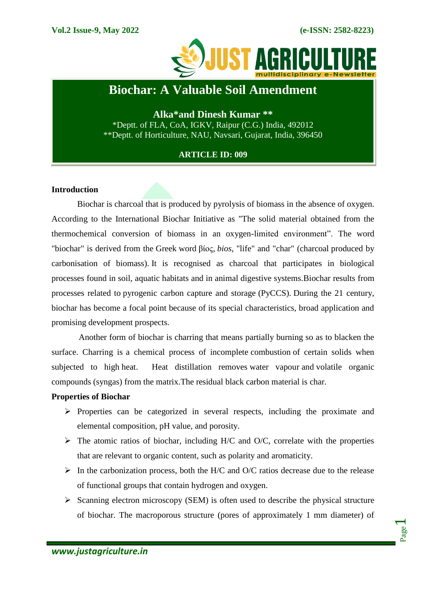

# **Biochar: A Valuable Soil Amendment**

**Alka\*and Dinesh Kumar \*\*** \*Deptt. of FLA, CoA, IGKV, Raipur (C.G.) India, 492012 \*\*Deptt. of Horticulture, NAU, Navsari, Gujarat, India, 396450

## **ARTICLE ID: 009**

#### **Introduction**

Biochar is [charcoal](https://en.wikipedia.org/wiki/Charcoal) that is produced by [pyrolysis](https://en.wikipedia.org/wiki/Pyrolysis) of [biomass](https://en.wikipedia.org/wiki/Biomass) in the absence of [oxygen.](https://en.wikipedia.org/wiki/Oxygen) According to the International Biochar Initiative as "The solid material obtained from the thermochemical conversion of biomass in an oxygen-limited environment". The word "biochar" is derived from the [Greek](https://en.wikipedia.org/wiki/Greek_Language) word [βίος,](https://en.wiktionary.org/wiki/%CE%B2%CE%AF%CE%BF%CF%82) *bios*, ["life"](https://en.wikipedia.org/wiki/Life) and ["char"](https://en.wikipedia.org/wiki/Char_(chemistry)) [\(charcoal](https://en.wikipedia.org/wiki/Charcoal) produced by carbonisation of biomass). It is recognised as charcoal that participates in biological processes found in soil, aquatic habitats and in animal digestive systems.Biochar results from processes related to pyrogenic carbon capture and storage (PyCCS). During the 21 century, biochar has become a focal point because of its special characteristics, broad application and promising development prospects.

Another form of biochar is charring that means partially burning so as to blacken the surface. Charring is a chemical process of incomplete combustion of certain solids when subjected to high [heat.](https://en.wikipedia.org/wiki/Heat) Heat distillation removes [water vapour](https://en.wikipedia.org/wiki/Water_vapour) and [volatile organic](https://en.wikipedia.org/wiki/Volatile_organic_compound)  [compounds](https://en.wikipedia.org/wiki/Volatile_organic_compound) [\(syngas\)](https://en.wikipedia.org/wiki/Syngas) from the matrix.The residual [black carbon](https://en.wikipedia.org/wiki/Black_carbon) material is [char.](https://en.wikipedia.org/wiki/Char_(chemistry))

#### **Properties of Biochar**

- $\triangleright$  Properties can be categorized in several respects, including the proximate and elemental composition, pH value, and porosity.
- $\triangleright$  The atomic ratios of biochar, including H/C and O/C, correlate with the properties that are relevant to organic content, such as polarity and aromaticity.
- $\triangleright$  In the carbonization process, both the H/C and O/C ratios decrease due to the release of functional groups that contain hydrogen and oxygen.
- $\triangleright$  Scanning electron microscopy (SEM) is often used to describe the physical structure of biochar. The macroporous structure (pores of approximately 1 mm diameter) of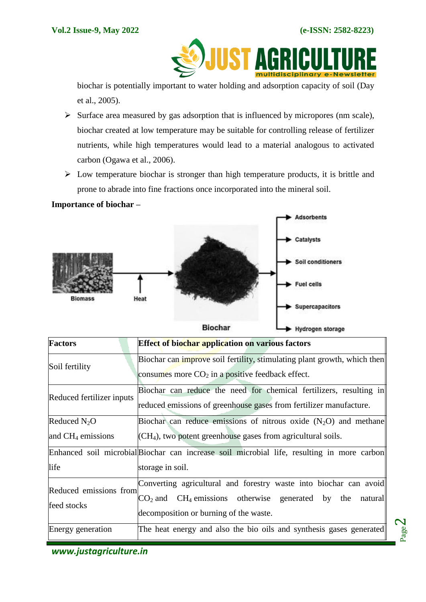Page  $\boldsymbol{\sim}$ 

**JUST A** A

biochar is potentially important to water holding and adsorption capacity of soil (Day et al., 2005).

- $\triangleright$  Surface area measured by gas adsorption that is influenced by micropores (nm scale), biochar created at low temperature may be suitable for controlling release of fertilizer nutrients, while high temperatures would lead to a material analogous to activated carbon (Ogawa et al., 2006).
- $\triangleright$  Low temperature biochar is stronger than high temperature products, it is brittle and prone to abrade into fine fractions once incorporated into the mineral soil.

## **Importance of biochar –**



| <b>Factors</b>                         | Effect of biochar application on various factors                                                                                                                                      |
|----------------------------------------|---------------------------------------------------------------------------------------------------------------------------------------------------------------------------------------|
| Soil fertility                         | Biochar can improve soil fertility, stimulating plant growth, which then<br>consumes more $CO2$ in a positive feedback effect.                                                        |
| Reduced fertilizer inputs              | Biochar can reduce the need for chemical fertilizers, resulting in<br>reduced emissions of greenhouse gases from fertilizer manufacture.                                              |
| Reduced $N_2O$<br>and $CH_4$ emissions | Biochar can reduce emissions of nitrous oxide $(N_2O)$ and methane<br>$\left($ CH <sub>4</sub> $\right)$ , two potent greenhouse gases from agricultural soils.                       |
| life                                   | Enhanced soil microbial Biochar can increase soil microbial life, resulting in more carbon<br>storage in soil.                                                                        |
| Reduced emissions from<br>feed stocks  | Converting agricultural and forestry waste into biochar can avoid<br>$CO2$ and CH <sub>4</sub> emissions otherwise generated by the natural<br>decomposition or burning of the waste. |
| Energy generation                      | The heat energy and also the bio oils and synthesis gases generated                                                                                                                   |

*www.justagriculture.in*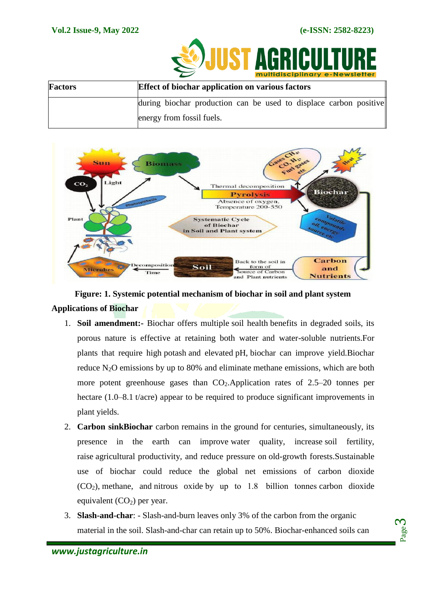

|                | <b>INDITIONS</b> CHAINS <b>CHAING</b>                             |
|----------------|-------------------------------------------------------------------|
| <b>Factors</b> | <b>Effect of biochar application on various factors</b>           |
|                | during biochar production can be used to displace carbon positive |
|                | energy from fossil fuels.                                         |



**Figure: 1. Systemic potential mechanism of biochar in soil and plant system Applications of Biochar**

- 1. **Soil amendment:-** Biochar offers multiple [soil health](https://en.wikipedia.org/wiki/Soil_health) benefits in degraded soils, its porous nature is effective at retaining both water and water-soluble nutrients.For plants that require high [potash](https://en.wikipedia.org/wiki/Potash) and elevated [pH,](https://en.wikipedia.org/wiki/PH) biochar can improve yield.Biochar reduce  $N_2O$  emissions by up to 80% and eliminate [methane emissions,](https://en.wikipedia.org/wiki/Methane_emissions) which are both more potent greenhouse gases than  $CO<sub>2</sub>$ . Application rates of 2.5–20 tonnes per hectare (1.0–8.1 t/acre) appear to be required to produce significant improvements in plant yields.
- 2. **Carbon sinkBiochar** carbon remains in the ground for centuries, simultaneously, its presence in the earth can improve [water quality,](https://en.wikipedia.org/wiki/Water_quality) increase [soil fertility,](https://en.wikipedia.org/wiki/Soil_fertility) raise [agricultural productivity,](https://en.wikipedia.org/wiki/Agricultural_productivity) and reduce pressure on [old-growth forests.](https://en.wikipedia.org/wiki/Old-growth_forest)Sustainable use of biochar could reduce the global net emissions of carbon dioxide  $(CO<sub>2</sub>)$ , [methane,](https://en.wikipedia.org/wiki/Methane) and [nitrous oxide](https://en.wikipedia.org/wiki/Nitrous_oxide) by up to 1.8 billion tonnes [carbon dioxide](https://en.wikipedia.org/wiki/Carbon_dioxide_equivalent) [equivalent](https://en.wikipedia.org/wiki/Carbon_dioxide_equivalent)  $(CO<sub>2</sub>)$  per year.
- 3. **Slash-and-char**: Slash-and-burn leaves only 3% of the carbon from the organic material in the soil. Slash-and-char can retain up to 50%. Biochar-enhanced soils can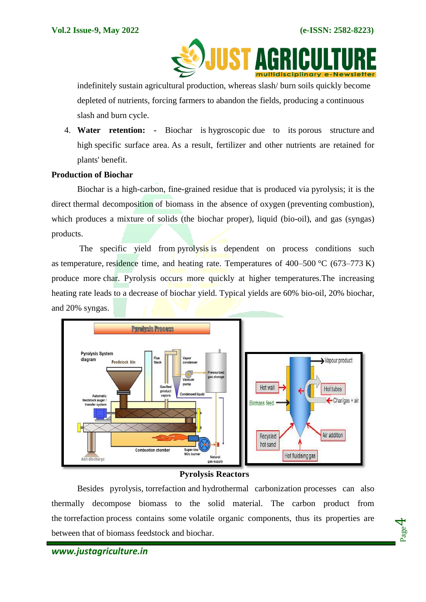

indefinitely sustain agricultural production, whereas slash/ burn soils quickly become depleted of nutrients, forcing farmers to abandon the fields, producing a continuous slash and burn cycle.

4. **Water retention: -** Biochar is [hygroscopic](https://en.wikipedia.org/wiki/Hygroscopic) due to its [porous structure](https://en.wikipedia.org/wiki/Porosity) and high [specific surface area.](https://en.wikipedia.org/wiki/Specific_surface_area) As a result, fertilizer and other nutrients are retained for plants' benefit.

#### **Production of Biochar**

Biochar is a high-carbon, fine-grained residue that is produced via [pyrolysis;](https://en.wikipedia.org/wiki/Pyrolysis) it is the direct [thermal decomposition](https://en.wikipedia.org/wiki/Thermal_decomposition) of biomass in the absence of [oxygen](https://en.wikipedia.org/wiki/Oxygen) (preventing [combustion\)](https://en.wikipedia.org/wiki/Combustion), which produces a mixture of solids (the biochar proper), liquid [\(bio-oil\)](https://en.wikipedia.org/wiki/Pyrolysis_oil), and gas [\(syngas\)](https://en.wikipedia.org/wiki/Syngas) products.

The specific yield from [pyrolysis](https://en.wikipedia.org/wiki/Pyrolysis) is dependent on process conditions such as [temperature,](https://en.wikipedia.org/wiki/Temperature) [residence time,](https://en.wikipedia.org/wiki/Residence_time) and heating rate. Temperatures of  $400-500$  °C (673–773 K) produce more [char.](https://en.wikipedia.org/wiki/Char_(chemistry)) Pyrolysis occurs more quickly at higher temperatures.The increasing heating rate leads to a decrease of biochar yield. Typical yields are 60% [bio-oil,](https://en.wikipedia.org/wiki/Bio-oil) 20% biochar, and 20% syngas.



## **Pyrolysis Reactors**

Besides pyrolysis, torrefaction and hydrothermal carbonization processes can also thermally decompose biomass to the solid material. The carbon product from the torrefaction process contains some volatile organic components, thus its properties are between that of biomass feedstock and biochar.



Page  $\overline{\bf 4}$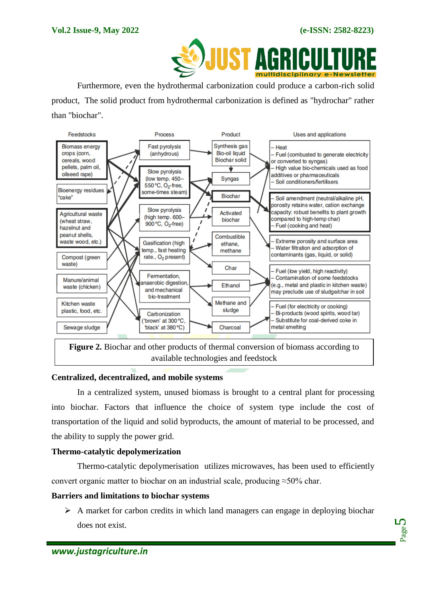

Furthermore, even the hydrothermal carbonization could produce a carbon-rich solid product, The solid product from hydrothermal carbonization is defined as "hydrochar" rather than "biochar".



available technologies and feedstock

## **Centralized, decentralized, and mobile systems**

In a centralized system, unused biomass is brought to a central plant for processing into biochar. Factors that influence the choice of system type include the cost of transportation of the liquid and solid byproducts, the amount of material to be processed, and the ability to supply the power grid.

## **Thermo-catalytic depolymerization**

Thermo-catalytic depolymerisation utilizes microwaves, has been used to efficiently convert organic matter to biochar on an industrial scale, producing ≈50% char.

## **Barriers and limitations to biochar systems**

 $\triangleright$  A market for carbon credits in which land managers can engage in deploying biochar does not exist.

Page ம